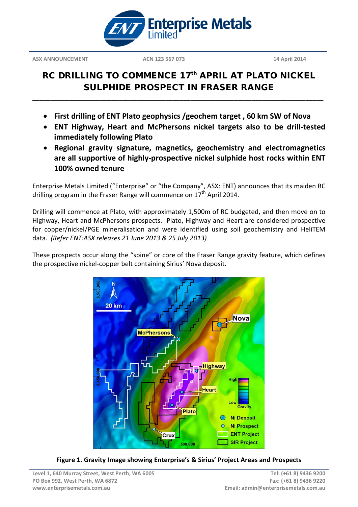

## RC DRILLING TO COMMENCE 17<sup>th</sup> APRIL AT PLATO NICKEL SULPHIDE PROSPECT IN FRASER RANGE

• **First drilling of ENT Plato geophysics /geochem target , 60 km SW of Nova**

**\_\_\_\_\_\_\_\_\_\_\_\_\_\_\_\_\_\_\_\_\_\_\_\_\_\_\_\_\_\_\_\_\_\_\_\_\_\_\_\_\_\_\_\_\_\_\_\_\_\_\_\_\_\_\_\_\_\_\_\_\_\_\_\_\_\_\_\_\_\_\_\_\_\_\_\_\_\_\_\_\_**

- **ENT Highway, Heart and McPhersons nickel targets also to be drill-tested immediately following Plato**
- **Regional gravity signature, magnetics, geochemistry and electromagnetics are all supportive of highly-prospective nickel sulphide host rocks within ENT 100% owned tenure**

Enterprise Metals Limited ("Enterprise" or "the Company", ASX: ENT) announces that its maiden RC drilling program in the Fraser Range will commence on  $17<sup>th</sup>$  April 2014.

Drilling will commence at Plato, with approximately 1,500m of RC budgeted, and then move on to Highway, Heart and McPhersons prospects. Plato, Highway and Heart are considered prospective for copper/nickel/PGE mineralisation and were identified using soil geochemistry and HeliTEM data. *(Refer ENT:ASX releases 21 June 2013 & 25 July 2013)*

These prospects occur along the "spine" or core of the Fraser Range gravity feature, which defines the prospective nickel-copper belt containing Sirius' Nova deposit.



**Figure 1. Gravity Image showing Enterprise's & Sirius' Project Areas and Prospects**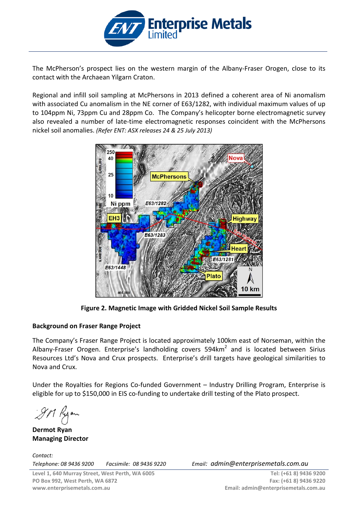

The McPherson's prospect lies on the western margin of the Albany-Fraser Orogen, close to its contact with the Archaean Yilgarn Craton.

Regional and infill soil sampling at McPhersons in 2013 defined a coherent area of Ni anomalism with associated Cu anomalism in the NE corner of E63/1282, with individual maximum values of up to 104ppm Ni, 73ppm Cu and 28ppm Co. The Company's helicopter borne electromagnetic survey also revealed a number of late-time electromagnetic responses coincident with the McPhersons nickel soil anomalies. *(Refer ENT: ASX releases 24 & 25 July 2013)*



**Figure 2. Magnetic Image with Gridded Nickel Soil Sample Results**

## **Background on Fraser Range Project**

The Company's Fraser Range Project is located approximately 100km east of Norseman, within the Albany-Fraser Orogen. Enterprise's landholding covers  $594 \text{km}^2$  and is located between Sirius Resources Ltd's Nova and Crux prospects. Enterprise's drill targets have geological similarities to Nova and Crux.

Under the Royalties for Regions Co-funded Government – Industry Drilling Program, Enterprise is eligible for up to \$150,000 in EIS co-funding to undertake drill testing of the Plato prospect.

9M Ryon

**Dermot Ryan Managing Director**

*Contact: Telephone: 08 9436 9200 Facsimile: 08 9436 9220 Email: admin@enterprisemetals.com.au*

**Tel: (+61 8) 9436 9200 Fax: (+61 8) 9436 9220 Email: admin@enterprisemetals.com.au**